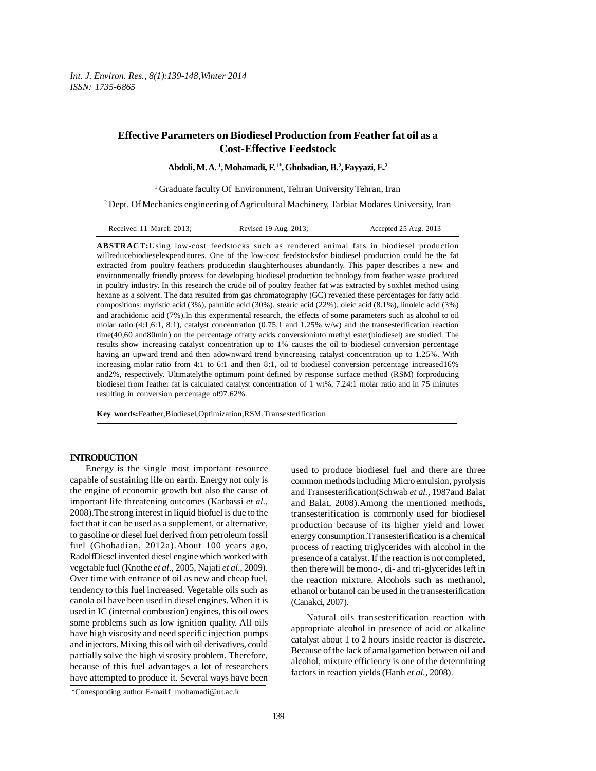# **Effective Parameters on Biodiesel Production from Feather fat oil as a Cost-Effective Feedstock**

**Abdoli, M. A. 1 , Mohamadi, F. 1\*, Ghobadian, B.2 , Fayyazi, E.2**

<sup>1</sup> Graduate faculty Of Environment, Tehran University Tehran, Iran

2 Dept. Of Mechanics engineering of Agricultural Machinery, Tarbiat Modares University, Iran

**ABSTRACT:**Using low-cost feedstocks such as rendered animal fats in biodiesel production willreducebiodieselexpenditures. One of the low-cost feedstocksfor biodiesel production could be the fat extracted from poultry feathers producedin slaughterhouses abundantly. This paper describes a new and environmentally friendly process for developing biodiesel production technology from feather waste produced in poultry industry. In this research the crude oil of poultry feather fat was extracted by soxhlet method using hexane as a solvent. The data resulted from gas chromatography (GC) revealed these percentages for fatty acid compositions: myristic acid (3%), palmitic acid (30%), stearic acid (22%), oleic acid (8.1%), linoleic acid (3%) and arachidonic acid (7%).In this experimental research, the effects of some parameters such as alcohol to oil molar ratio (4:1,6:1, 8:1), catalyst concentration (0.75,1 and 1.25% w/w) and the transesterification reaction time(40,60 and80min) on the percentage offatty acids conversioninto methyl ester(biodiesel) are studied. The results show increasing catalyst concentration up to 1% causes the oil to biodiesel conversion percentage having an upward trend and then adownward trend byincreasing catalyst concentration up to 1.25%. With increasing molar ratio from 4:1 to 6:1 and then 8:1, oil to biodiesel conversion percentage increased16% and2%, respectively. Ultimatelythe optimum point defined by response surface method (RSM) forproducing biodiesel from feather fat is calculated catalyst concentration of 1 wt%, 7.24:1 molar ratio and in 75 minutes resulting in conversion percentage of97.62%.

**Key words:**Feather,Biodiesel,Optimization,RSM,Transesterification

### **INTRODUCTION**

Energy is the single most important resource capable of sustaining life on earth. Energy not only is the engine of economic growth but also the cause of important life threatening outcomes (Karbassi *et al.,* 2008).The strong interest in liquid biofuel is due to the fact that it can be used as a supplement, or alternative, to gasoline or diesel fuel derived from petroleum fossil fuel (Ghobadian, 2012a).About 100 years ago, RadolfDiesel invented diesel engine which worked with vegetable fuel (Knothe *et al.,* 2005, Najafi *et al.,* 2009). Over time with entrance of oil as new and cheap fuel, tendency to this fuel increased. Vegetable oils such as canola oil have been used in diesel engines. When it is used in IC (internal combustion) engines, this oil owes some problems such as low ignition quality. All oils have high viscosity and need specific injection pumps and injectors. Mixing this oil with oil derivatives, could partially solve the high viscosity problem. Therefore, because of this fuel advantages a lot of researchers have attempted to produce it. Several ways have been used to produce biodiesel fuel and there are three common methods including Micro emulsion, pyrolysis and Transesterification(Schwab *et al.,* 1987and Balat and Balat, 2008).Among the mentioned methods, transesterification is commonly used for biodiesel production because of its higher yield and lower energy consumption.Transesterification is a chemical process of reacting triglycerides with alcohol in the presence of a catalyst. If the reaction is not completed, then there will be mono-, di- and tri-glycerides left in the reaction mixture. Alcohols such as methanol, ethanol or butanol can be used in the transesterification (Canakci, 2007).

Natural oils transesterification reaction with appropriate alcohol in presence of acid or alkaline catalyst about 1 to 2 hours inside reactor is discrete. Because of the lack of amalgametion between oil and alcohol, mixture efficiency is one of the determining factors in reaction yields (Hanh *et al.,* 2008).

<sup>\*</sup>Corresponding author E-mail:f\_mohamadi@ut.ac.ir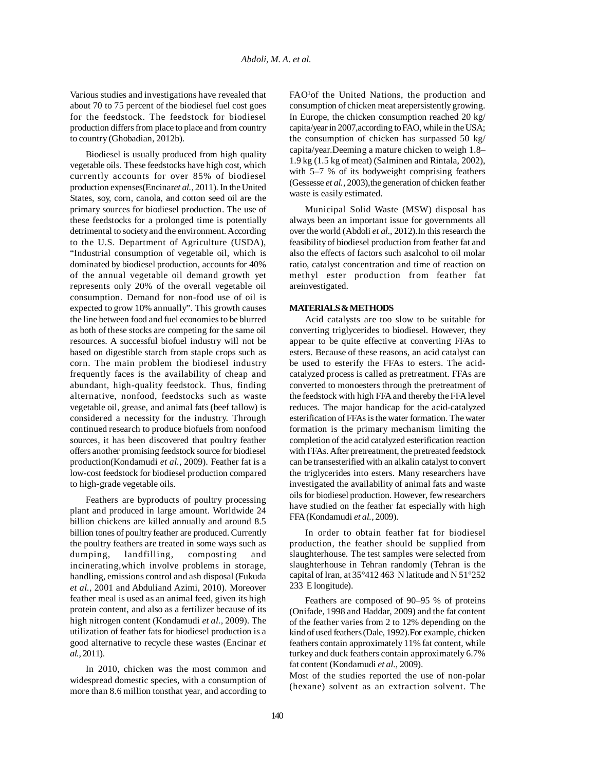Various studies and investigations have revealed that about 70 to 75 percent of the biodiesel fuel cost goes for the feedstock. The feedstock for biodiesel production differs from place to place and from country to country (Ghobadian, 2012b).

Biodiesel is usually produced from high quality vegetable oils. These feedstocks have high cost, which currently accounts for over 85% of biodiesel production expenses(Encinar*et al.,* 2011). In the United States, soy, corn, canola, and cotton seed oil are the primary sources for biodiesel production. The use of these feedstocks for a prolonged time is potentially detrimental to society and the environment. According to the U.S. Department of Agriculture (USDA), "Industrial consumption of vegetable oil, which is dominated by biodiesel production, accounts for 40% of the annual vegetable oil demand growth yet represents only 20% of the overall vegetable oil consumption. Demand for non-food use of oil is expected to grow 10% annually". This growth causes the line between food and fuel economies to be blurred as both of these stocks are competing for the same oil resources. A successful biofuel industry will not be based on digestible starch from staple crops such as corn. The main problem the biodiesel industry frequently faces is the availability of cheap and abundant, high-quality feedstock. Thus, finding alternative, nonfood, feedstocks such as waste vegetable oil, grease, and animal fats (beef tallow) is considered a necessity for the industry. Through continued research to produce biofuels from nonfood sources, it has been discovered that poultry feather offers another promising feedstock source for biodiesel production(Kondamudi *et al.,* 2009). Feather fat is a low-cost feedstock for biodiesel production compared to high-grade vegetable oils.

Feathers are byproducts of poultry processing plant and produced in large amount. Worldwide 24 billion chickens are killed annually and around 8.5 billion tones of poultry feather are produced. Currently the poultry feathers are treated in some ways such as dumping, landfilling, composting and incinerating,which involve problems in storage, handling, emissions control and ash disposal (Fukuda *et al.,* 2001 and Abduliand Azimi, 2010). Moreover feather meal is used as an animal feed, given its high protein content, and also as a fertilizer because of its high nitrogen content (Kondamudi *et al.,* 2009). The utilization of feather fats for biodiesel production is a good alternative to recycle these wastes (Encinar *et al.,* 2011).

In 2010, chicken was the most common and widespread domestic species, with a consumption of more than 8.6 million tonsthat year, and according to

FAO<sup>1</sup>of the United Nations, the production and consumption of chicken meat arepersistently growing. In Europe, the chicken consumption reached 20 kg/ capita/year in 2007,according to FAO, while in the USA; the consumption of chicken has surpassed 50 kg/ capita/year.Deeming a mature chicken to weigh 1.8– 1.9 kg (1.5 kg of meat) (Salminen and Rintala, 2002), with 5–7 % of its bodyweight comprising feathers (Gessesse *et al.,* 2003),the generation of chicken feather waste is easily estimated.

Municipal Solid Waste (MSW) disposal has always been an important issue for governments all over the world (Abdoli *et al.,* 2012).In this research the feasibility of biodiesel production from feather fat and also the effects of factors such asalcohol to oil molar ratio, catalyst concentration and time of reaction on methyl ester production from feather fat areinvestigated.

### **MATERIALS & METHODS**

Acid catalysts are too slow to be suitable for converting triglycerides to biodiesel. However, they appear to be quite effective at converting FFAs to esters. Because of these reasons, an acid catalyst can be used to esterify the FFAs to esters. The acidcatalyzed process is called as pretreatment. FFAs are converted to monoesters through the pretreatment of the feedstock with high FFA and thereby the FFA level reduces. The major handicap for the acid-catalyzed esterification of FFAs is the water formation. The water formation is the primary mechanism limiting the completion of the acid catalyzed esterification reaction with FFAs. After pretreatment, the pretreated feedstock can be transesterified with an alkalin catalyst to convert the triglycerides into esters. Many researchers have investigated the availability of animal fats and waste oils for biodiesel production. However, few researchers have studied on the feather fat especially with high FFA (Kondamudi *et al.,* 2009).

In order to obtain feather fat for biodiesel production, the feather should be supplied from slaughterhouse. The test samples were selected from slaughterhouse in Tehran randomly (Tehran is the capital of Iran, at 35°412 463 N latitude and N 51°252 233 E longitude).

Feathers are composed of 90–95 % of proteins (Onifade, 1998 and Haddar, 2009) and the fat content of the feather varies from 2 to 12% depending on the kind of used feathers (Dale, 1992).For example, chicken feathers contain approximately 11% fat content, while turkey and duck feathers contain approximately 6.7% fat content (Kondamudi *et al.,* 2009).

Most of the studies reported the use of non-polar (hexane) solvent as an extraction solvent. The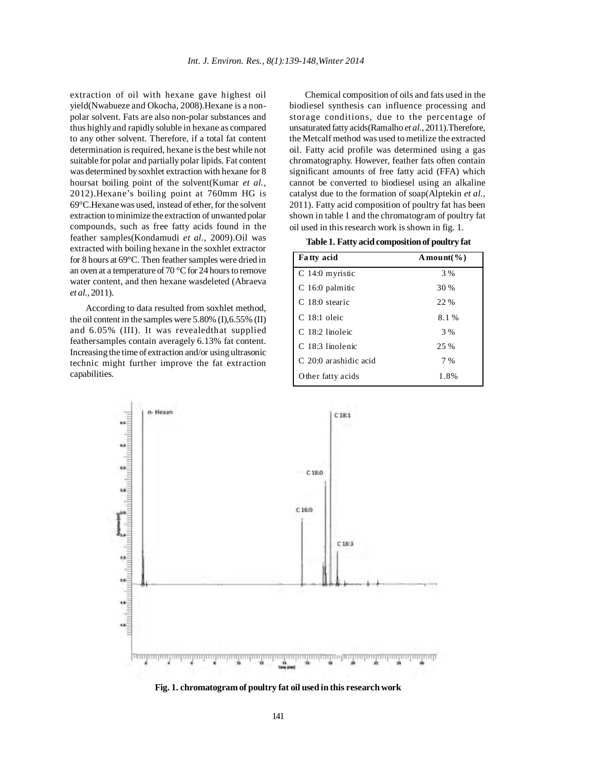extraction of oil with hexane gave highest oil yield(Nwabueze and Okocha, 2008).Hexane is a nonpolar solvent. Fats are also non-polar substances and thus highly and rapidly soluble in hexane as compared to any other solvent. Therefore, if a total fat content determination is required, hexane is the best while not suitable for polar and partially polar lipids. Fat content was determined by soxhlet extraction with hexane for 8 hoursat boiling point of the solvent(Kumar *et al.,* 2012).Hexane's boiling point at 760mm HG is 69°C.Hexane was used, instead of ether, for the solvent extraction to minimize the extraction of unwanted polar compounds, such as free fatty acids found in the feather samples(Kondamudi *et al.,* 2009).Oil was extracted with boiling hexane in the soxhlet extractor for 8 hours at 69°C. Then feather samples were dried in an oven at a temperature of 70 °C for 24 hours to remove water content, and then hexane wasdeleted (Abraeva *et al.,* 2011).

According to data resulted from soxhlet method, the oil content in the samples were 5.80% (I),6.55% (II) and 6.05% (III). It was revealedthat supplied feathersamples contain averagely 6.13% fat content. Increasing the time of extraction and/or using ultrasonic technic might further improve the fat extraction capabilities.

Chemical composition of oils and fats used in the biodiesel synthesis can influence processing and storage conditions, due to the percentage of unsaturated fatty acids(Ramalho *et al.,* 2011).Therefore, the Metcalf method was used to metilize the extracted oil. Fatty acid profile was determined using a gas chromatography. However, feather fats often contain significant amounts of free fatty acid (FFA) which cannot be converted to biodiesel using an alkaline catalyst due to the formation of soap(Alptekin *et al.,* 2011). Fatty acid composition of poultry fat has been shown in table 1 and the chromatogram of poultry fat oil used in this research work is shown in fig. 1.

**Table 1. Fatty acid composition of poultry fat**

| Fatty acid            | A mount( $\%$ ) |
|-----------------------|-----------------|
| $C$ 14:0 myristic     | 3 %             |
| $C$ 16:0 palmitic     | 30 %            |
| C 18:0 stearic        | 22 %            |
| $C$ 18:1 oleic        | 8.1%            |
| C 18:2 linoleic       | 3 %             |
| C. 18:3 linolenic     | 25 %            |
| C 20:0 arashidic acid | 7 %             |
| O ther fatty acids    | 1.8%            |



**Fig. 1. chromatogram of poultry fat oil used in this research work**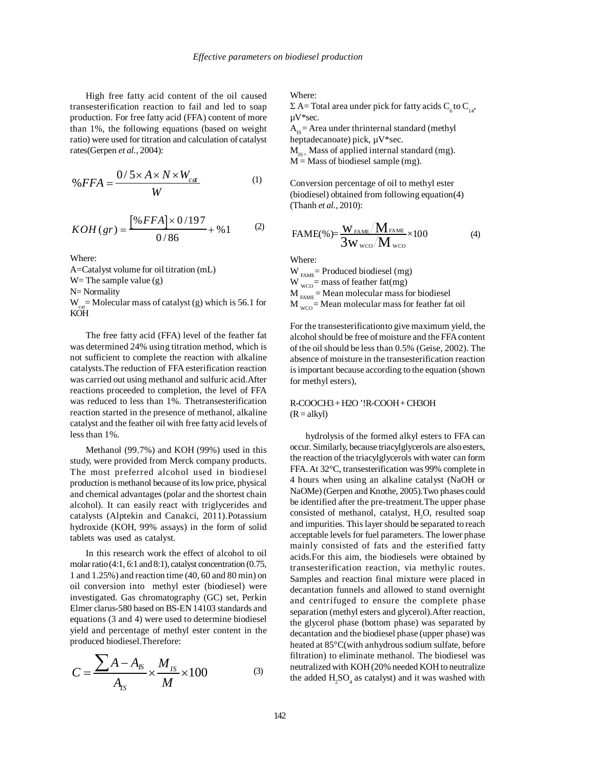High free fatty acid content of the oil caused transesterification reaction to fail and led to soap production. For free fatty acid (FFA) content of more than 1%, the following equations (based on weight ratio) were used for titration and calculation of catalyst rates(Gerpen *et al.,* 2004):

$$
\%FFA = \frac{0/5 \times A \times N \times W_{cd}}{W}
$$
 (1)

$$
KOH (gr) = \frac{\left[\% FFA\right] \times 0/197}{0/86} + \%1 \tag{2}
$$

Where:

A=Catalyst volume for oil titration (mL) W = The sample value  $(g)$ N= Normality

 $W_{\text{tot}}$ = Molecular mass of catalyst (g) which is 56.1 for KOH

The free fatty acid (FFA) level of the feather fat was determined 24% using titration method, which is not sufficient to complete the reaction with alkaline catalysts.The reduction of FFA esterification reaction was carried out using methanol and sulfuric acid.After reactions proceeded to completion, the level of FFA was reduced to less than 1%. Thetransesterification reaction started in the presence of methanol, alkaline catalyst and the feather oil with free fatty acid levels of less than 1%.

Methanol (99.7%) and KOH (99%) used in this study, were provided from Merck company products. The most preferred alcohol used in biodiesel production is methanol because of its low price, physical and chemical advantages (polar and the shortest chain alcohol). It can easily react with triglycerides and catalysts (Alptekin and Canakci, 2011).Potassium hydroxide (KOH, 99% assays) in the form of solid tablets was used as catalyst.

In this research work the effect of alcohol to oil molar ratio (4:1, 6:1 and 8:1), catalyst concentration (0.75, 1 and 1.25%) and reaction time (40, 60 and 80 min) on oil conversion into methyl ester (biodiesel) were investigated. Gas chromatography (GC) set, Perkin Elmer clarus-580 based on BS-EN 14103 standards and equations (3 and 4) were used to determine biodiesel yield and percentage of methyl ester content in the produced biodiesel.Therefore:

$$
C = \frac{\sum A - A_{IS}}{A_{IS}} \times \frac{M_{IS}}{M} \times 100
$$
 (3)

Where:

Σ A= Total area under pick for fatty acids C<sub>6</sub> to C<sub>14</sub>, µV\*sec.

 $A_{rs}$  = Area under thrinternal standard (methyl heptadecanoate) pick, µV\*sec.

 $M_{1s}$  Mass of applied internal standard (mg).  $M =$ Mass of biodiesel sample (mg).

Conversion percentage of oil to methyl ester (biodiesel) obtained from following equation(4) (Thanh *et al.,* 2010):

$$
FAME(\%)=\frac{W_{FAME}/M_{FAME}}{3W_{wco}/M_{wco}} \times 100
$$
 (4)

Where:

W  $_{FAME}$  Produced biodiesel (mg)  $W_{wco}$  = mass of feather fat(mg)  $M_{FAME}$  = Mean molecular mass for biodiesel  $M_{\text{wco}}$  = Mean molecular mass for feather fat oil

For the transesterificationto give maximum yield, the alcohol should be free of moisture and the FFA content of the oil should be less than 0.5% (Geise, 2002). The absence of moisture in the transesterification reaction is important because according to the equation (shown for methyl esters),

R-COOCH3 + H2O '!R-COOH + CH3OH  $(R = alkyl)$ 

hydrolysis of the formed alkyl esters to FFA can occur. Similarly, because triacylglycerols are also esters, the reaction of the triacylglycerols with water can form FFA. At 32°C, transesterification was 99% complete in 4 hours when using an alkaline catalyst (NaOH or NaOMe) (Gerpen and Knothe, 2005).Two phases could be identified after the pre-treatment.The upper phase consisted of methanol, catalyst,  $H_2O$ , resulted soap and impurities. This layer should be separated to reach acceptable levels for fuel parameters. The lower phase mainly consisted of fats and the esterified fatty acids.For this aim, the biodiesels were obtained by transesterification reaction, via methylic routes. Samples and reaction final mixture were placed in decantation funnels and allowed to stand overnight and centrifuged to ensure the complete phase separation (methyl esters and glycerol).After reaction, the glycerol phase (bottom phase) was separated by decantation and the biodiesel phase (upper phase) was heated at 85°C(with anhydrous sodium sulfate, before filtration) to eliminate methanol. The biodiesel was neutralized with KOH (20% needed KOH to neutralize the added  $H_2SO_4$  as catalyst) and it was washed with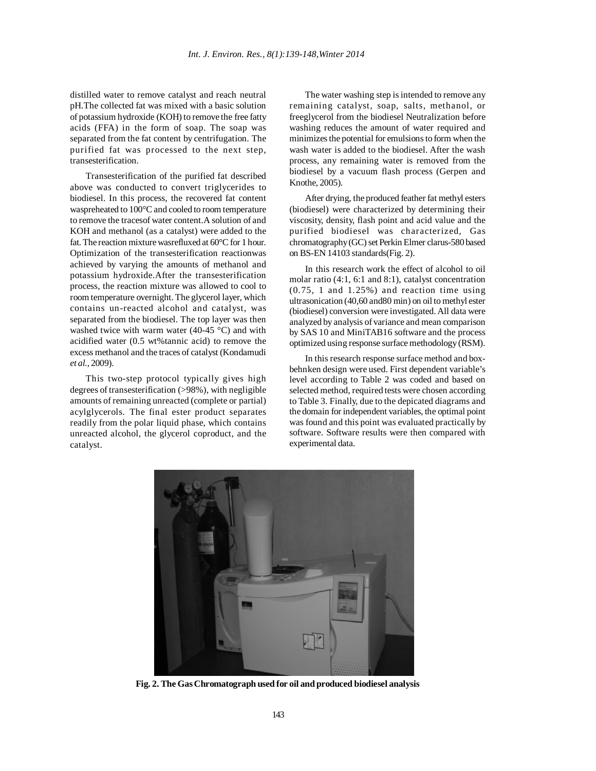distilled water to remove catalyst and reach neutral pH.The collected fat was mixed with a basic solution of potassium hydroxide (KOH) to remove the free fatty acids (FFA) in the form of soap. The soap was separated from the fat content by centrifugation. The purified fat was processed to the next step, transesterification.

Transesterification of the purified fat described above was conducted to convert triglycerides to biodiesel. In this process, the recovered fat content waspreheated to 100°C and cooled to room temperature to remove the tracesof water content.A solution of and KOH and methanol (as a catalyst) were added to the fat. The reaction mixture wasrefluxed at 60°C for 1 hour. Optimization of the transesterification reactionwas achieved by varying the amounts of methanol and potassium hydroxide.After the transesterification process, the reaction mixture was allowed to cool to room temperature overnight. The glycerol layer, which contains un-reacted alcohol and catalyst, was separated from the biodiesel. The top layer was then washed twice with warm water (40-45 °C) and with acidified water (0.5 wt%tannic acid) to remove the excess methanol and the traces of catalyst (Kondamudi *et al.,* 2009).

This two-step protocol typically gives high degrees of transesterification (>98%), with negligible amounts of remaining unreacted (complete or partial) acylglycerols. The final ester product separates readily from the polar liquid phase, which contains unreacted alcohol, the glycerol coproduct, and the catalyst.

The water washing step is intended to remove any remaining catalyst, soap, salts, methanol, or freeglycerol from the biodiesel Neutralization before washing reduces the amount of water required and minimizes the potential for emulsions to form when the wash water is added to the biodiesel. After the wash process, any remaining water is removed from the biodiesel by a vacuum flash process (Gerpen and Knothe, 2005).

After drying, the produced feather fat methyl esters (biodiesel) were characterized by determining their viscosity, density, flash point and acid value and the purified biodiesel was characterized, Gas chromatography (GC) set Perkin Elmer clarus-580 based on BS-EN 14103 standards(Fig. 2).

In this research work the effect of alcohol to oil molar ratio (4:1, 6:1 and 8:1), catalyst concentration (0.75, 1 and 1.25%) and reaction time using ultrasonication (40,60 and80 min) on oil to methyl ester (biodiesel) conversion were investigated. All data were analyzed by analysis of variance and mean comparison by SAS 10 and MiniTAB16 software and the process optimized using response surface methodology (RSM).

In this research response surface method and boxbehnken design were used. First dependent variable's level according to Table 2 was coded and based on selected method, required tests were chosen according to Table 3. Finally, due to the depicated diagrams and the domain for independent variables, the optimal point was found and this point was evaluated practically by software. Software results were then compared with experimental data.



**Fig. 2. The Gas Chromatograph used for oil and produced biodiesel analysis**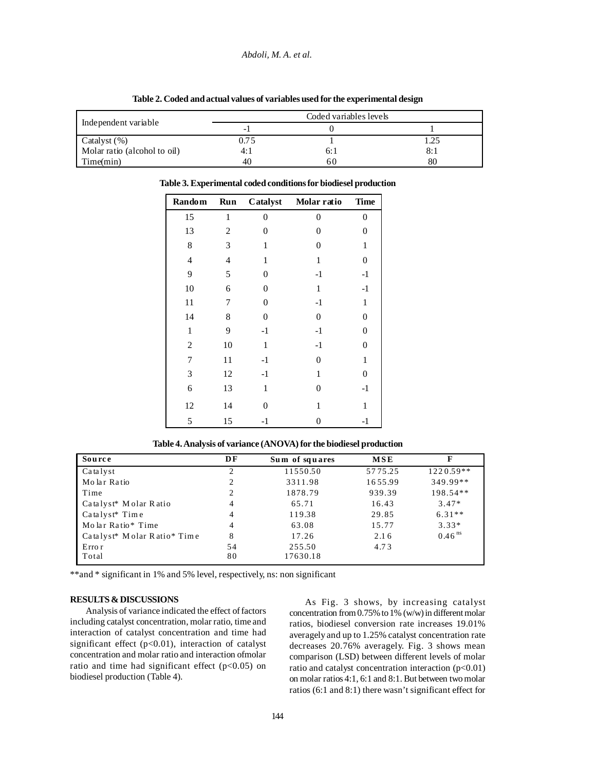|                              |                          |  | . . |  |
|------------------------------|--------------------------|--|-----|--|
|                              | Coded variables levels   |  |     |  |
| Independent variable         | $\overline{\phantom{0}}$ |  |     |  |
| Catalyst (%)                 | 0.75                     |  |     |  |
| Molar ratio (alcohol to oil) | 4: .                     |  | 8:1 |  |
| Time(min)                    | 40                       |  | 80  |  |

**Table 2. Coded and actual values of variables used for the experimental design**

| <b>Random</b>  | Run          | Catalyst       | Molar ratio    | <b>Time</b>      |
|----------------|--------------|----------------|----------------|------------------|
| 15             | $\mathbf{1}$ | $\overline{0}$ | $\theta$       | $\overline{0}$   |
| 13             | 2            | 0              | 0              | 0                |
| 8              | 3            | $\mathbf{1}$   | $\overline{0}$ | $\mathbf{1}$     |
| $\overline{4}$ | 4            | 1              | 1              | 0                |
| 9              | 5            | 0              | $-1$           | $-1$             |
| 10             | 6            | 0              | $\mathbf{1}$   | $-1$             |
| 11             | 7            | 0              | $-1$           | $\mathbf{1}$     |
| 14             | 8            | 0              | $\overline{0}$ | 0                |
| 1              | 9            | $-1$           | $-1$           | $\overline{0}$   |
| $\overline{2}$ | 10           | 1              | $-1$           | 0                |
| 7              | 11           | $-1$           | $\overline{0}$ | $\mathbf{1}$     |
| 3              | 12           | $-1$           | $\mathbf{1}$   | $\boldsymbol{0}$ |
| 6              | 13           | $\mathbf{1}$   | $\overline{0}$ | $-1$             |
| 12             | 14           | 0              | $\mathbf{1}$   | $\mathbf{1}$     |
| 5              | 15           | -1             | 0              | $-1$             |

**Table 3. Experimental coded conditions for biodiesel production**

| Source                                              | DF             | Sum of squares | MSE     | F                    |
|-----------------------------------------------------|----------------|----------------|---------|----------------------|
| $Ca$ talyst                                         | 2              | 11550.50       | 5775.25 | $1220.59**$          |
| Molar Ratio                                         | 2              | 3311.98        | 1655.99 | 349.99**             |
| Time                                                | 2              | 1878.79        | 939.39  | $198.54**$           |
| Catalyst <sup>*</sup> Molar Ratio                   | 4              | 65.71          | 16.43   | $3.47*$              |
| $Ca$ talyst <sup>*</sup> Time                       | $\overline{4}$ | 119.38         | 29.85   | $6.31**$             |
| Molar Ratio* Time                                   | 4              | 63.08          | 15.77   | $3.33*$              |
| Catalyst <sup>*</sup> Molar Ratio <sup>*</sup> Time | 8              | 17.26          | 2.16    | $0.46$ <sup>ns</sup> |
| Erro r                                              | 54             | 255.50         | 4.73    |                      |
| Total                                               | 80             | 17630.18       |         |                      |

**Table 4. Analysis of variance (ANOVA) for the biodiesel production**

\*\*and \* significant in 1% and 5% level, respectively, ns: non significant

# **RESULTS & DISCUSSIONS**

Analysis of variance indicated the effect of factors including catalyst concentration, molar ratio, time and interaction of catalyst concentration and time had significant effect  $(p<0.01)$ , interaction of catalyst concentration and molar ratio and interaction ofmolar ratio and time had significant effect ( $p<0.05$ ) on biodiesel production (Table 4).

As Fig. 3 shows, by increasing catalyst concentration from 0.75% to 1% (w/w) in different molar ratios, biodiesel conversion rate increases 19.01% averagely and up to 1.25% catalyst concentration rate decreases 20.76% averagely. Fig. 3 shows mean comparison (LSD) between different levels of molar ratio and catalyst concentration interaction  $(p<0.01)$ on molar ratios 4:1, 6:1 and 8:1. But between two molar ratios (6:1 and 8:1) there wasn't significant effect for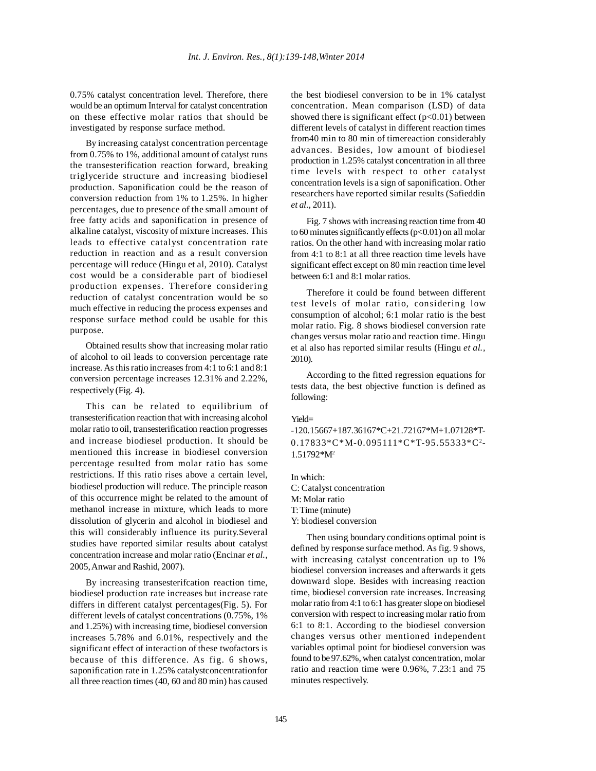0.75% catalyst concentration level. Therefore, there would be an optimum Interval for catalyst concentration on these effective molar ratios that should be investigated by response surface method.

By increasing catalyst concentration percentage from 0.75% to 1%, additional amount of catalyst runs the transesterification reaction forward, breaking triglyceride structure and increasing biodiesel production. Saponification could be the reason of conversion reduction from 1% to 1.25%. In higher percentages, due to presence of the small amount of free fatty acids and saponification in presence of alkaline catalyst, viscosity of mixture increases. This leads to effective catalyst concentration rate reduction in reaction and as a result conversion percentage will reduce (Hingu et al, 2010). Catalyst cost would be a considerable part of biodiesel production expenses. Therefore considering reduction of catalyst concentration would be so much effective in reducing the process expenses and response surface method could be usable for this purpose.

Obtained results show that increasing molar ratio of alcohol to oil leads to conversion percentage rate increase. As this ratio increases from 4:1 to 6:1 and 8:1 conversion percentage increases 12.31% and 2.22%, respectively (Fig. 4).

This can be related to equilibrium of transesterification reaction that with increasing alcohol molar ratio to oil, transesterification reaction progresses and increase biodiesel production. It should be mentioned this increase in biodiesel conversion percentage resulted from molar ratio has some restrictions. If this ratio rises above a certain level, biodiesel production will reduce. The principle reason of this occurrence might be related to the amount of methanol increase in mixture, which leads to more dissolution of glycerin and alcohol in biodiesel and this will considerably influence its purity.Several studies have reported similar results about catalyst concentration increase and molar ratio (Encinar *et al.,* 2005, Anwar and Rashid, 2007).

By increasing transesterifcation reaction time, biodiesel production rate increases but increase rate differs in different catalyst percentages(Fig. 5). For different levels of catalyst concentrations (0.75%, 1% and 1.25%) with increasing time, biodiesel conversion increases 5.78% and 6.01%, respectively and the significant effect of interaction of these twofactors is because of this difference. As fig. 6 shows, saponification rate in 1.25% catalystconcentrationfor all three reaction times (40, 60 and 80 min) has caused the best biodiesel conversion to be in 1% catalyst concentration. Mean comparison (LSD) of data showed there is significant effect  $(p<0.01)$  between different levels of catalyst in different reaction times from40 min to 80 min of timereaction considerably advances. Besides, low amount of biodiesel production in 1.25% catalyst concentration in all three time levels with respect to other catalyst concentration levels is a sign of saponification. Other researchers have reported similar results (Safieddin *et al.,* 2011).

Fig. 7 shows with increasing reaction time from 40 to 60 minutes significantly effects  $(p<0.01)$  on all molar ratios. On the other hand with increasing molar ratio from 4:1 to 8:1 at all three reaction time levels have significant effect except on 80 min reaction time level between 6:1 and 8:1 molar ratios.

Therefore it could be found between different test levels of molar ratio, considering low consumption of alcohol; 6:1 molar ratio is the best molar ratio. Fig. 8 shows biodiesel conversion rate changes versus molar ratio and reaction time. Hingu et al also has reported similar results (Hingu *et al.,* 2010).

According to the fitted regression equations for tests data, the best objective function is defined as following:

#### Yield=

-120.15667+187.36167\*C+21.72167\*M+1.07128\*T- $0.17833 \times C \times M - 0.095111 \times C \times T - 95.55333 \times C^2 -$ 1.51792\*M2

In which: C: Catalyst concentration M: Molar ratio

T: Time (minute)

Y: biodiesel conversion

Then using boundary conditions optimal point is defined by response surface method. As fig. 9 shows, with increasing catalyst concentration up to 1% biodiesel conversion increases and afterwards it gets downward slope. Besides with increasing reaction time, biodiesel conversion rate increases. Increasing molar ratio from 4:1 to 6:1 has greater slope on biodiesel conversion with respect to increasing molar ratio from 6:1 to 8:1. According to the biodiesel conversion changes versus other mentioned independent variables optimal point for biodiesel conversion was found to be 97.62%, when catalyst concentration, molar ratio and reaction time were 0.96%, 7.23:1 and 75 minutes respectively.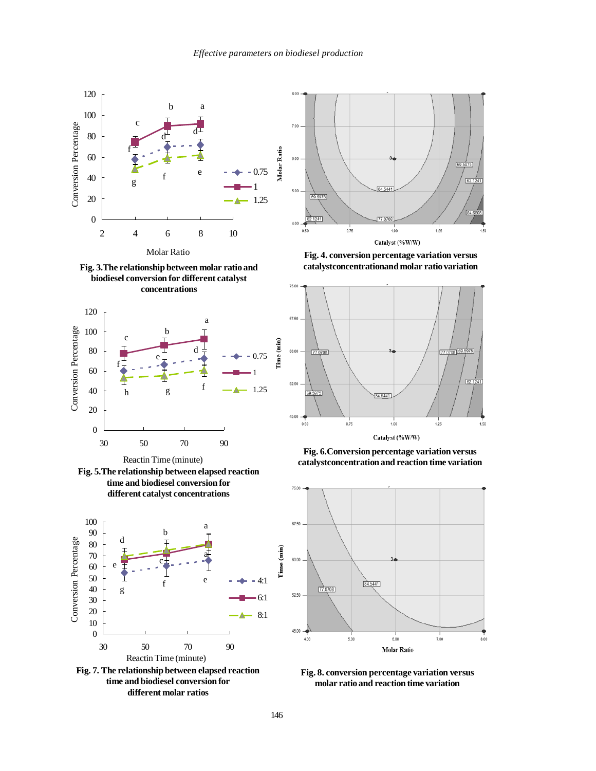









**Fig. 7. The relationship between elapsed reaction time and biodiesel conversion for different molar ratios**



**Fig. 4. conversion percentage variation versus catalystconcentrationand molar ratio variation**



**Fig. 6.Conversion percentage variation versus catalystconcentration and reaction time variation**



**Fig. 8. conversion percentage variation versus molar ratio and reaction time variation**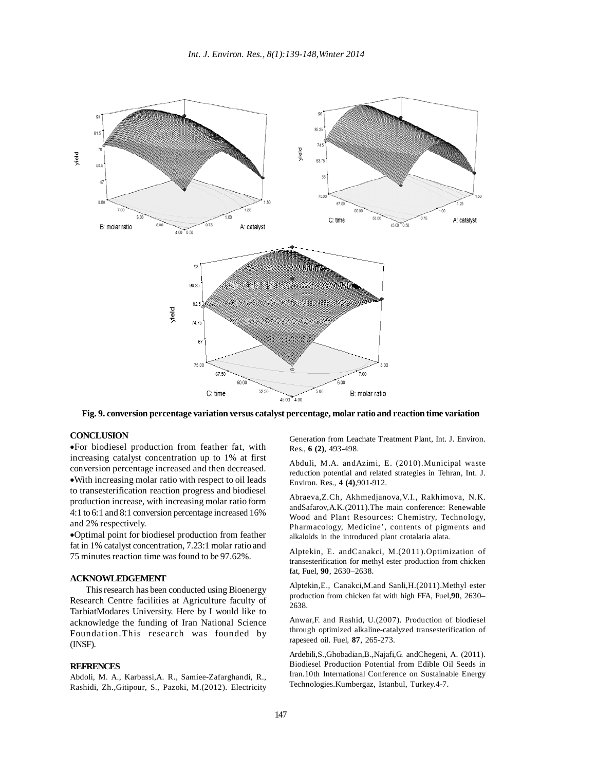

**Fig. 9. conversion percentage variation versus catalyst percentage, molar ratio and reaction time variation**

# **CONCLUSION**

•For biodiesel production from feather fat, with increasing catalyst concentration up to 1% at first conversion percentage increased and then decreased. •With increasing molar ratio with respect to oil leads to transesterification reaction progress and biodiesel production increase, with increasing molar ratio form 4:1 to 6:1 and 8:1 conversion percentage increased 16% and 2% respectively.

•Optimal point for biodiesel production from feather fat in 1% catalyst concentration, 7.23:1 molar ratio and 75 minutes reaction time was found to be 97.62%.

# **ACKNOWLEDGEMENT**

This research has been conducted using Bioenergy Research Centre facilities at Agriculture faculty of TarbiatModares University. Here by I would like to acknowledge the funding of Iran National Science Foundation.This research was founded by (INSF).

## **REFRENCES**

Abdoli, M. A., Karbassi,A. R., Samiee-Zafarghandi, R., Rashidi, Zh.,Gitipour, S., Pazoki, M.(2012). Electricity Generation from Leachate Treatment Plant, Int. J. Environ. Res., **6 (2)**, 493-498.

Abduli, M.A. andAzimi, E. (2010).Municipal waste reduction potential and related strategies in Tehran, Int. J. Environ. Res., **4 (4)**,901-912.

Abraeva,Z.Ch, Akhmedjanova,V.I., Rakhimova, N.K. andSafarov,A.K.(2011).The main conference: Renewable Wood and Plant Resources: Chemistry, Technology, Pharmacology, Medicine', contents of pigments and alkaloids in the introduced plant crotalaria alata.

Alptekin, E. andCanakci, M.(2011).Optimization of transesterification for methyl ester production from chicken fat, Fuel, **90**, 2630–2638.

Alptekin,E., Canakci,M.and Sanli,H.(2011).Methyl ester production from chicken fat with high FFA, Fuel,**90**, 2630– 2638.

Anwar,F. and Rashid, U.(2007). Production of biodiesel through optimized alkaline-catalyzed transesterification of rapeseed oil. Fuel, **87**, 265-273.

Ardebili,S.,Ghobadian,B.,Najafi,G. andChegeni, A. (2011). Biodiesel Production Potential from Edible Oil Seeds in Iran.10th International Conference on Sustainable Energy Technologies.Kumbergaz, Istanbul, Turkey.4-7.